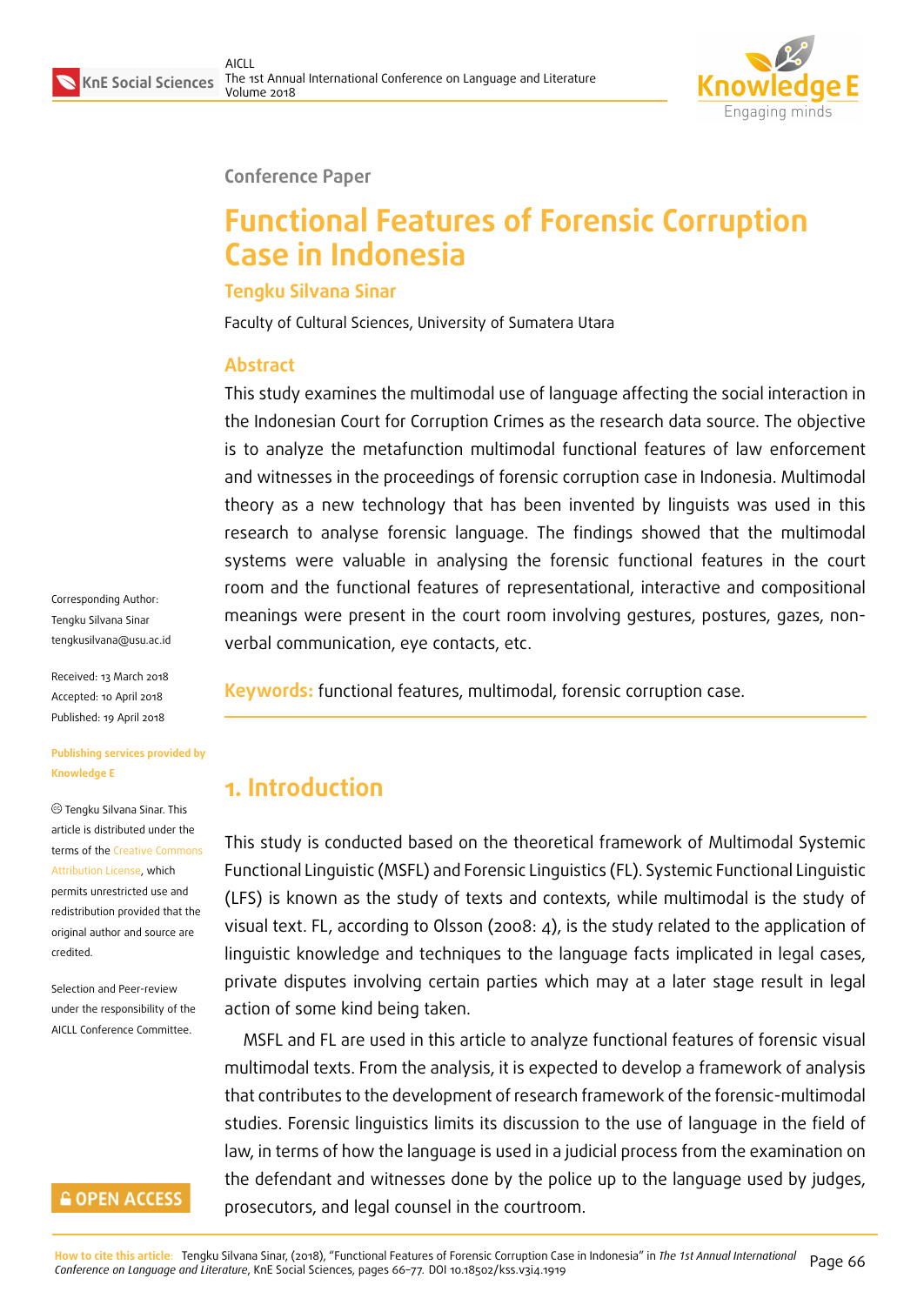

#### **Conference Paper**

# **Functional Features of Forensic Corruption Case in Indonesia**

#### **Tengku Silvana Sinar**

Faculty of Cultural Sciences, University of Sumatera Utara

#### **Abstract**

This study examines the multimodal use of language affecting the social interaction in the Indonesian Court for Corruption Crimes as the research data source. The objective is to analyze the metafunction multimodal functional features of law enforcement and witnesses in the proceedings of forensic corruption case in Indonesia. Multimodal theory as a new technology that has been invented by linguists was used in this research to analyse forensic language. The findings showed that the multimodal systems were valuable in analysing the forensic functional features in the court room and the functional features of representational, interactive and compositional meanings were present in the court room involving gestures, postures, gazes, nonverbal communication, eye contacts, etc.

Corresponding Author: Tengku Silvana Sinar tengkusilvana@usu.ac.id

Received: 13 March 2018 Accepted: 10 April 2018 [Published: 19 April 2018](mailto:tengkusilvana@usu.ac.id)

#### **Publishing services provided by Knowledge E**

Tengku Silvana Sinar. This article is distributed under the terms of the Creative Commons Attribution License, which permits unrestricted use and redistribution provided that the original auth[or and source are](https://creativecommons.org/licenses/by/4.0/) [credited.](https://creativecommons.org/licenses/by/4.0/)

Selection and Peer-review under the responsibility of the AICLL Conference Committee.

#### **GOPEN ACCESS**

**Keywords:** functional features, multimodal, forensic corruption case.

## **1. Introduction**

This study is conducted based on the theoretical framework of Multimodal Systemic Functional Linguistic (MSFL) and Forensic Linguistics (FL). Systemic Functional Linguistic (LFS) is known as the study of texts and contexts, while multimodal is the study of visual text. FL, according to Olsson (2008: 4), is the study related to the application of linguistic knowledge and techniques to the language facts implicated in legal cases, private disputes involving certain parties which may at a later stage result in legal action of some kind being taken.

MSFL and FL are used in this article to analyze functional features of forensic visual multimodal texts. From the analysis, it is expected to develop a framework of analysis that contributes to the development of research framework of the forensic-multimodal studies. Forensic linguistics limits its discussion to the use of language in the field of law, in terms of how the language is used in a judicial process from the examination on the defendant and witnesses done by the police up to the language used by judges, prosecutors, and legal counsel in the courtroom.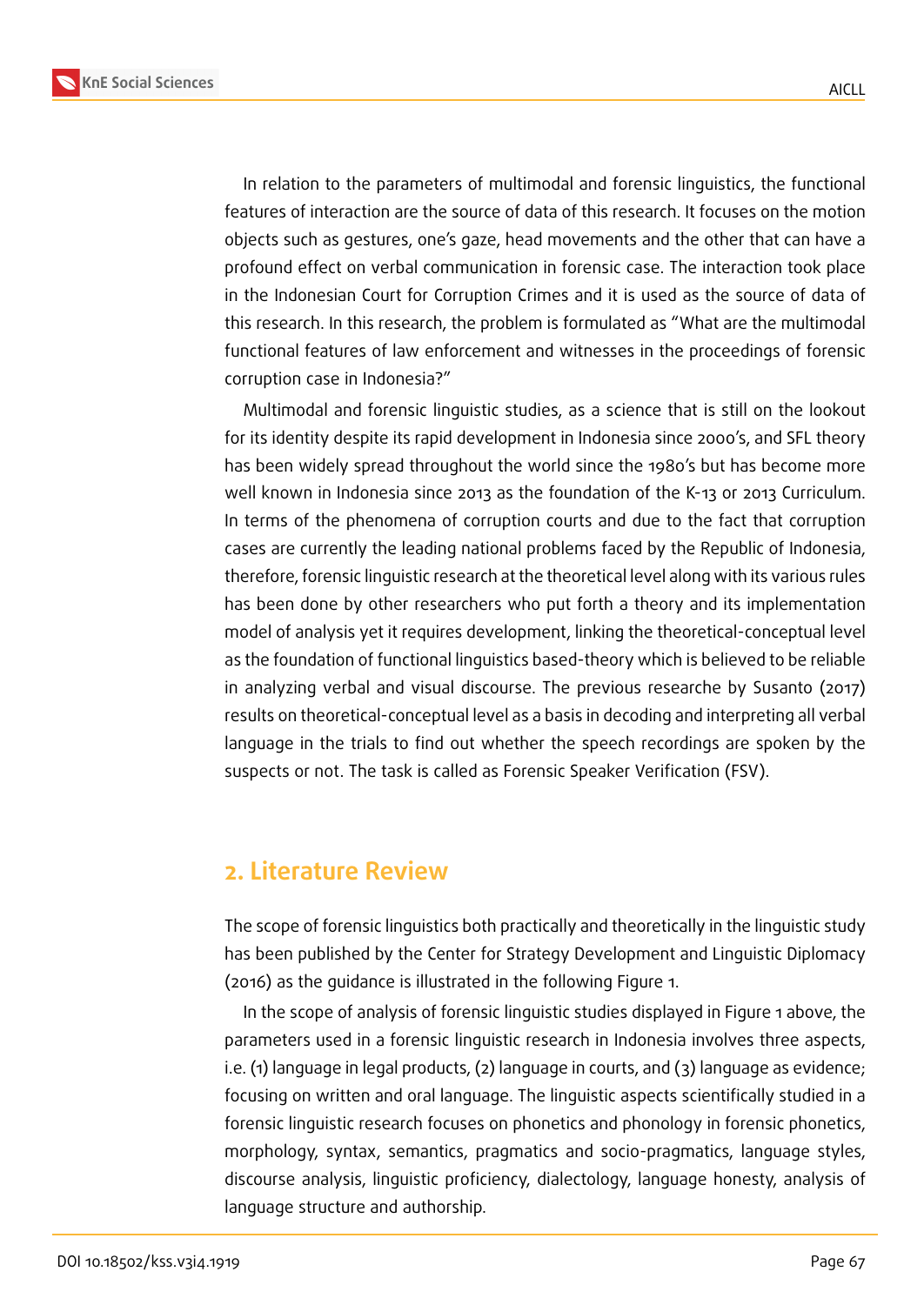In relation to the parameters of multimodal and forensic linguistics, the functional features of interaction are the source of data of this research. It focuses on the motion objects such as gestures, one's gaze, head movements and the other that can have a profound effect on verbal communication in forensic case. The interaction took place in the Indonesian Court for Corruption Crimes and it is used as the source of data of this research. In this research, the problem is formulated as "What are the multimodal functional features of law enforcement and witnesses in the proceedings of forensic corruption case in Indonesia?"

Multimodal and forensic linguistic studies, as a science that is still on the lookout for its identity despite its rapid development in Indonesia since 2000's, and SFL theory has been widely spread throughout the world since the 1980's but has become more well known in Indonesia since 2013 as the foundation of the K-13 or 2013 Curriculum. In terms of the phenomena of corruption courts and due to the fact that corruption cases are currently the leading national problems faced by the Republic of Indonesia, therefore, forensic linguistic research at the theoretical level along with its various rules has been done by other researchers who put forth a theory and its implementation model of analysis yet it requires development, linking the theoretical-conceptual level as the foundation of functional linguistics based-theory which is believed to be reliable in analyzing verbal and visual discourse. The previous researche by Susanto (2017) results on theoretical-conceptual level as a basis in decoding and interpreting all verbal language in the trials to find out whether the speech recordings are spoken by the suspects or not. The task is called as Forensic Speaker Verification (FSV).

### **2. Literature Review**

The scope of forensic linguistics both practically and theoretically in the linguistic study has been published by the Center for Strategy Development and Linguistic Diplomacy (2016) as the guidance is illustrated in the following Figure 1.

In the scope of analysis of forensic linguistic studies displayed in Figure 1 above, the parameters used in a forensic linguistic research in Indonesia involves three aspects, i.e. (1) language in legal products, (2) language in courts, an[d \(](#page-2-0)3) language as evidence; focusing on written and oral language. The linguistic aspects scientifically [s](#page-2-0)tudied in a forensic linguistic research focuses on phonetics and phonology in forensic phonetics, morphology, syntax, semantics, pragmatics and socio-pragmatics, language styles, discourse analysis, linguistic proficiency, dialectology, language honesty, analysis of language structure and authorship.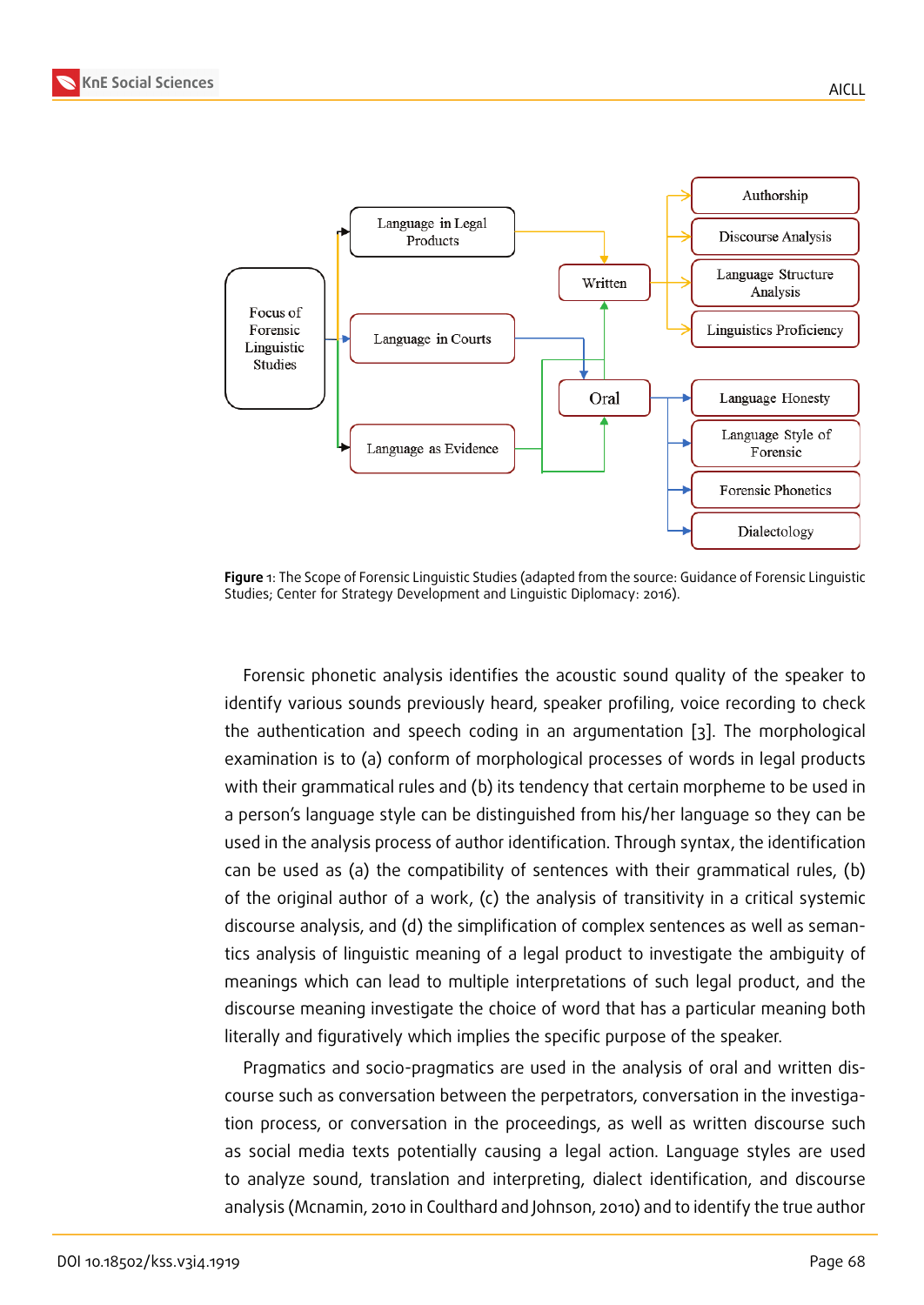

**Figure** 1: The Scope of Forensic Linguistic Studies (adapted from the source: Guidance of Forensic Linguistic Studies; Center for Strategy Development and Linguistic Diplomacy: 2016).

<span id="page-2-0"></span>Forensic phonetic analysis identifies the acoustic sound quality of the speaker to identify various sounds previously heard, speaker profiling, voice recording to check the authentication and speech coding in an argumentation [3]. The morphological examination is to (a) conform of morphological processes of words in legal products with their grammatical rules and (b) its tendency that certain morpheme to be used in a person's language style can be distinguished from his/her la[ng](#page-10-0)uage so they can be used in the analysis process of author identification. Through syntax, the identification can be used as (a) the compatibility of sentences with their grammatical rules, (b) of the original author of a work, (c) the analysis of transitivity in a critical systemic discourse analysis, and (d) the simplification of complex sentences as well as semantics analysis of linguistic meaning of a legal product to investigate the ambiguity of meanings which can lead to multiple interpretations of such legal product, and the discourse meaning investigate the choice of word that has a particular meaning both literally and figuratively which implies the specific purpose of the speaker.

Pragmatics and socio-pragmatics are used in the analysis of oral and written discourse such as conversation between the perpetrators, conversation in the investigation process, or conversation in the proceedings, as well as written discourse such as social media texts potentially causing a legal action. Language styles are used to analyze sound, translation and interpreting, dialect identification, and discourse analysis (Mcnamin, 2010 in Coulthard and Johnson, 2010) and to identify the true author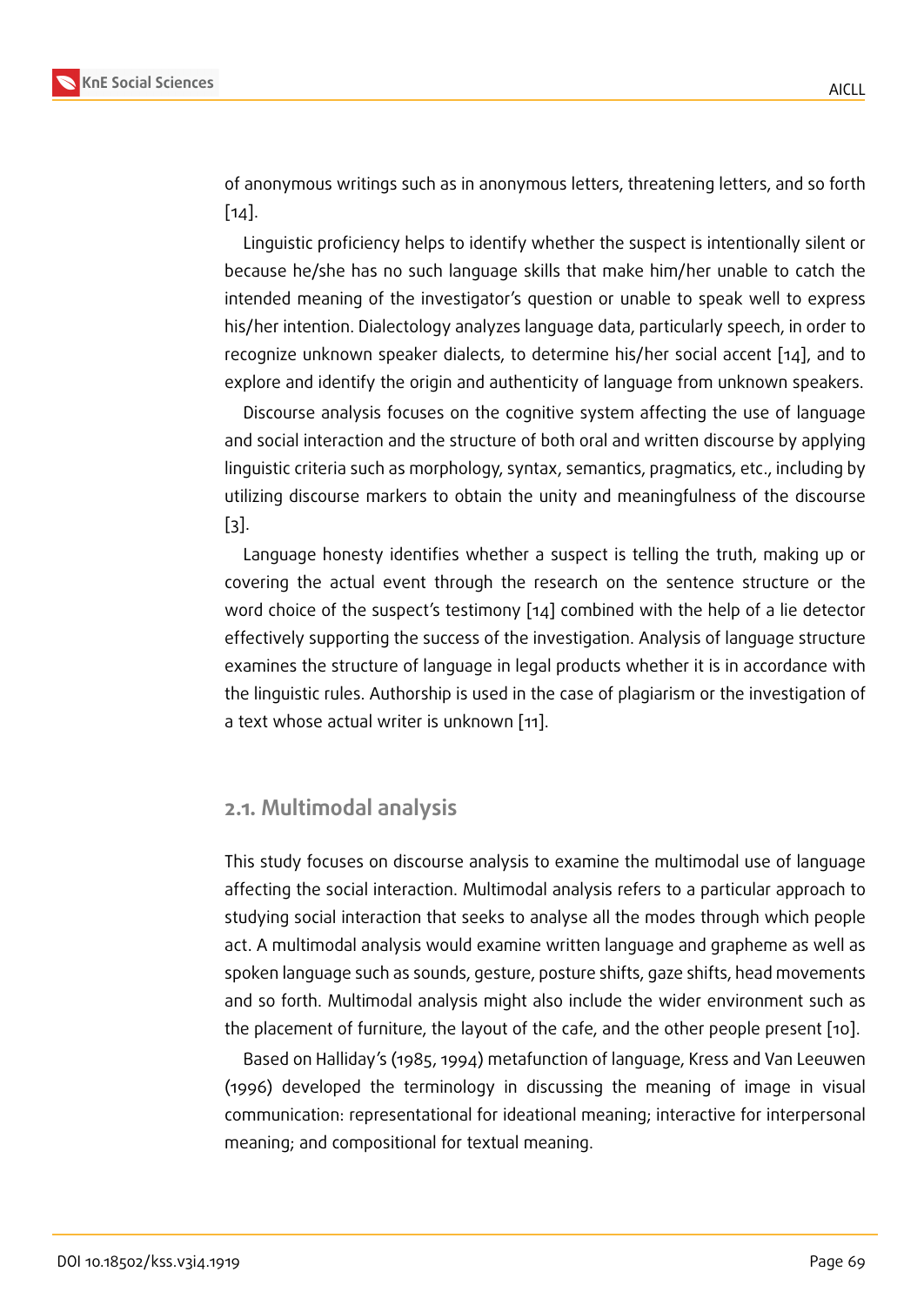of anonymous writings such as in anonymous letters, threatening letters, and so forth [14].

Linguistic proficiency helps to identify whether the suspect is intentionally silent or because he/she has no such language skills that make him/her unable to catch the i[nte](#page-11-0)nded meaning of the investigator's question or unable to speak well to express his/her intention. Dialectology analyzes language data, particularly speech, in order to recognize unknown speaker dialects, to determine his/her social accent [14], and to explore and identify the origin and authenticity of language from unknown speakers.

Discourse analysis focuses on the cognitive system affecting the use of language and social interaction and the structure of both oral and written discourse [by](#page-11-0) applying linguistic criteria such as morphology, syntax, semantics, pragmatics, etc., including by utilizing discourse markers to obtain the unity and meaningfulness of the discourse [3].

Language honesty identifies whether a suspect is telling the truth, making up or covering the actual event through the research on the sentence structure or the [wo](#page-10-0)rd choice of the suspect's testimony [14] combined with the help of a lie detector effectively supporting the success of the investigation. Analysis of language structure examines the structure of language in legal products whether it is in accordance with the linguistic rules. Authorship is used in [the](#page-11-0) case of plagiarism or the investigation of a text whose actual writer is unknown [11].

#### **2.1. Multimodal analysis**

This study focuses on discourse analysis to examine the multimodal use of language affecting the social interaction. Multimodal analysis refers to a particular approach to studying social interaction that seeks to analyse all the modes through which people act. A multimodal analysis would examine written language and grapheme as well as spoken language such as sounds, gesture, posture shifts, gaze shifts, head movements and so forth. Multimodal analysis might also include the wider environment such as the placement of furniture, the layout of the cafe, and the other people present [10].

Based on Halliday's (1985, 1994) metafunction of language, Kress and Van Leeuwen (1996) developed the terminology in discussing the meaning of image in visual communication: representational for ideational meaning; interactive for interper[son](#page-11-1)al meaning; and compositional for textual meaning.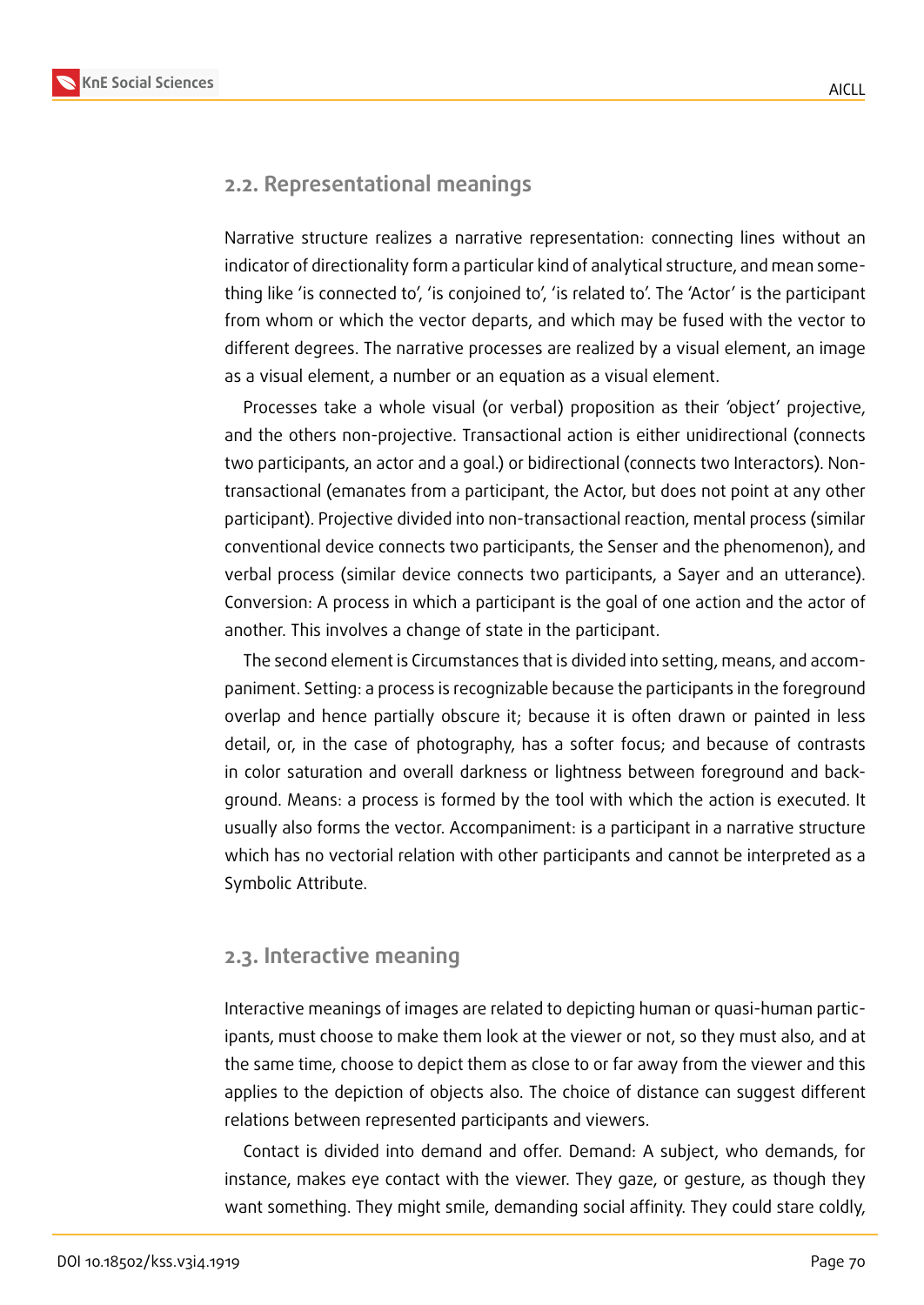

#### **2.2. Representational meanings**

Narrative structure realizes a narrative representation: connecting lines without an indicator of directionality form a particular kind of analytical structure, and mean something like 'is connected to', 'is conjoined to', 'is related to'. The 'Actor' is the participant from whom or which the vector departs, and which may be fused with the vector to different degrees. The narrative processes are realized by a visual element, an image as a visual element, a number or an equation as a visual element.

Processes take a whole visual (or verbal) proposition as their 'object' projective, and the others non-projective. Transactional action is either unidirectional (connects two participants, an actor and a goal.) or bidirectional (connects two Interactors). Nontransactional (emanates from a participant, the Actor, but does not point at any other participant). Projective divided into non-transactional reaction, mental process (similar conventional device connects two participants, the Senser and the phenomenon), and verbal process (similar device connects two participants, a Sayer and an utterance). Conversion: A process in which a participant is the goal of one action and the actor of another. This involves a change of state in the participant.

The second element is Circumstances that is divided into setting, means, and accompaniment. Setting: a process is recognizable because the participants in the foreground overlap and hence partially obscure it; because it is often drawn or painted in less detail, or, in the case of photography, has a softer focus; and because of contrasts in color saturation and overall darkness or lightness between foreground and background. Means: a process is formed by the tool with which the action is executed. It usually also forms the vector. Accompaniment: is a participant in a narrative structure which has no vectorial relation with other participants and cannot be interpreted as a Symbolic Attribute.

#### **2.3. Interactive meaning**

Interactive meanings of images are related to depicting human or quasi-human participants, must choose to make them look at the viewer or not, so they must also, and at the same time, choose to depict them as close to or far away from the viewer and this applies to the depiction of objects also. The choice of distance can suggest different relations between represented participants and viewers.

Contact is divided into demand and offer. Demand: A subject, who demands, for instance, makes eye contact with the viewer. They gaze, or gesture, as though they want something. They might smile, demanding social affinity. They could stare coldly,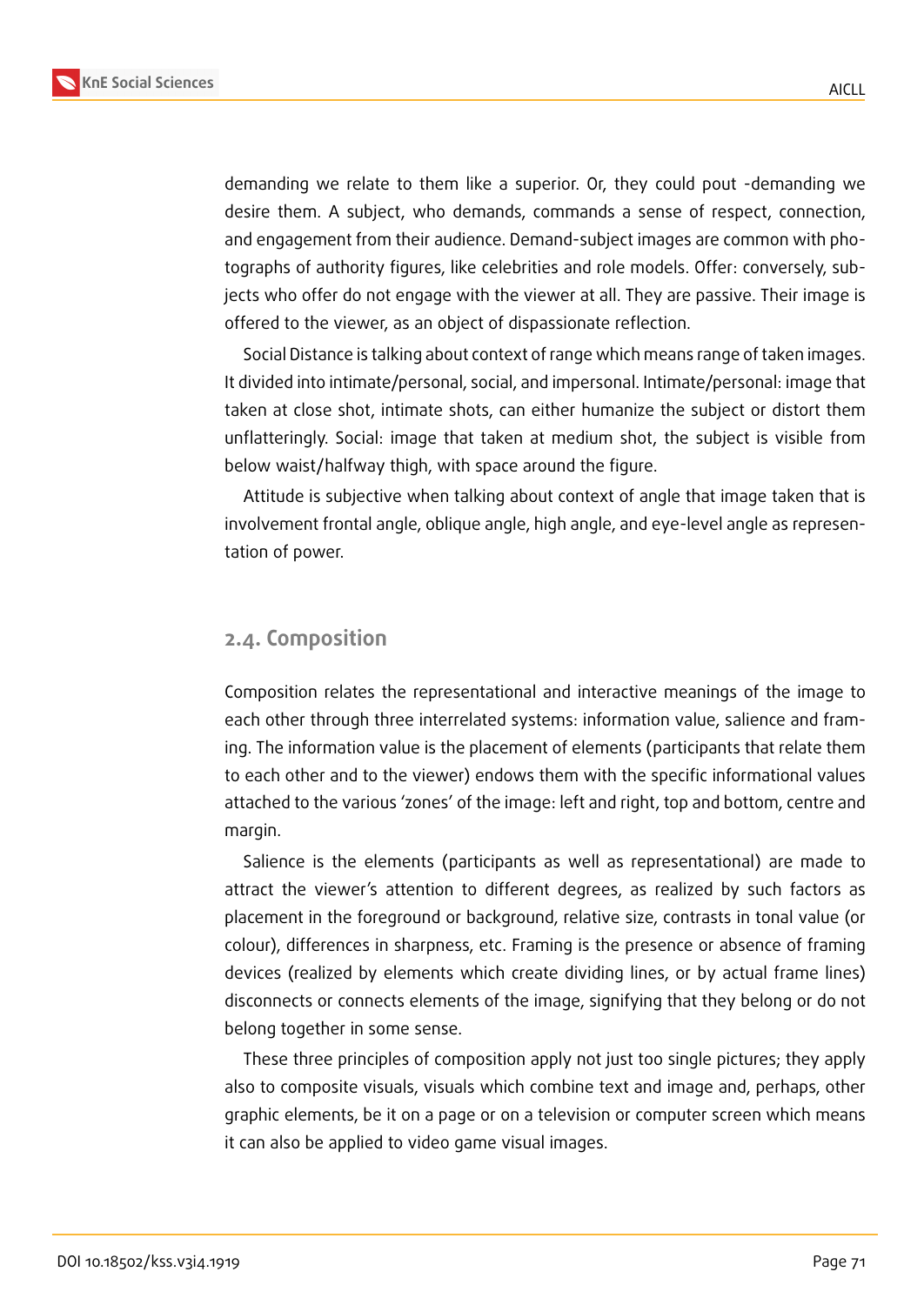

demanding we relate to them like a superior. Or, they could pout -demanding we desire them. A subject, who demands, commands a sense of respect, connection, and engagement from their audience. Demand-subject images are common with photographs of authority figures, like celebrities and role models. Offer: conversely, subjects who offer do not engage with the viewer at all. They are passive. Their image is offered to the viewer, as an object of dispassionate reflection.

Social Distance is talking about context of range which means range of taken images. It divided into intimate/personal, social, and impersonal. Intimate/personal: image that taken at close shot, intimate shots, can either humanize the subject or distort them unflatteringly. Social: image that taken at medium shot, the subject is visible from below waist/halfway thigh, with space around the figure.

Attitude is subjective when talking about context of angle that image taken that is involvement frontal angle, oblique angle, high angle, and eye-level angle as representation of power.

#### **2.4. Composition**

Composition relates the representational and interactive meanings of the image to each other through three interrelated systems: information value, salience and framing. The information value is the placement of elements (participants that relate them to each other and to the viewer) endows them with the specific informational values attached to the various 'zones' of the image: left and right, top and bottom, centre and margin.

Salience is the elements (participants as well as representational) are made to attract the viewer's attention to different degrees, as realized by such factors as placement in the foreground or background, relative size, contrasts in tonal value (or colour), differences in sharpness, etc. Framing is the presence or absence of framing devices (realized by elements which create dividing lines, or by actual frame lines) disconnects or connects elements of the image, signifying that they belong or do not belong together in some sense.

These three principles of composition apply not just too single pictures; they apply also to composite visuals, visuals which combine text and image and, perhaps, other graphic elements, be it on a page or on a television or computer screen which means it can also be applied to video game visual images.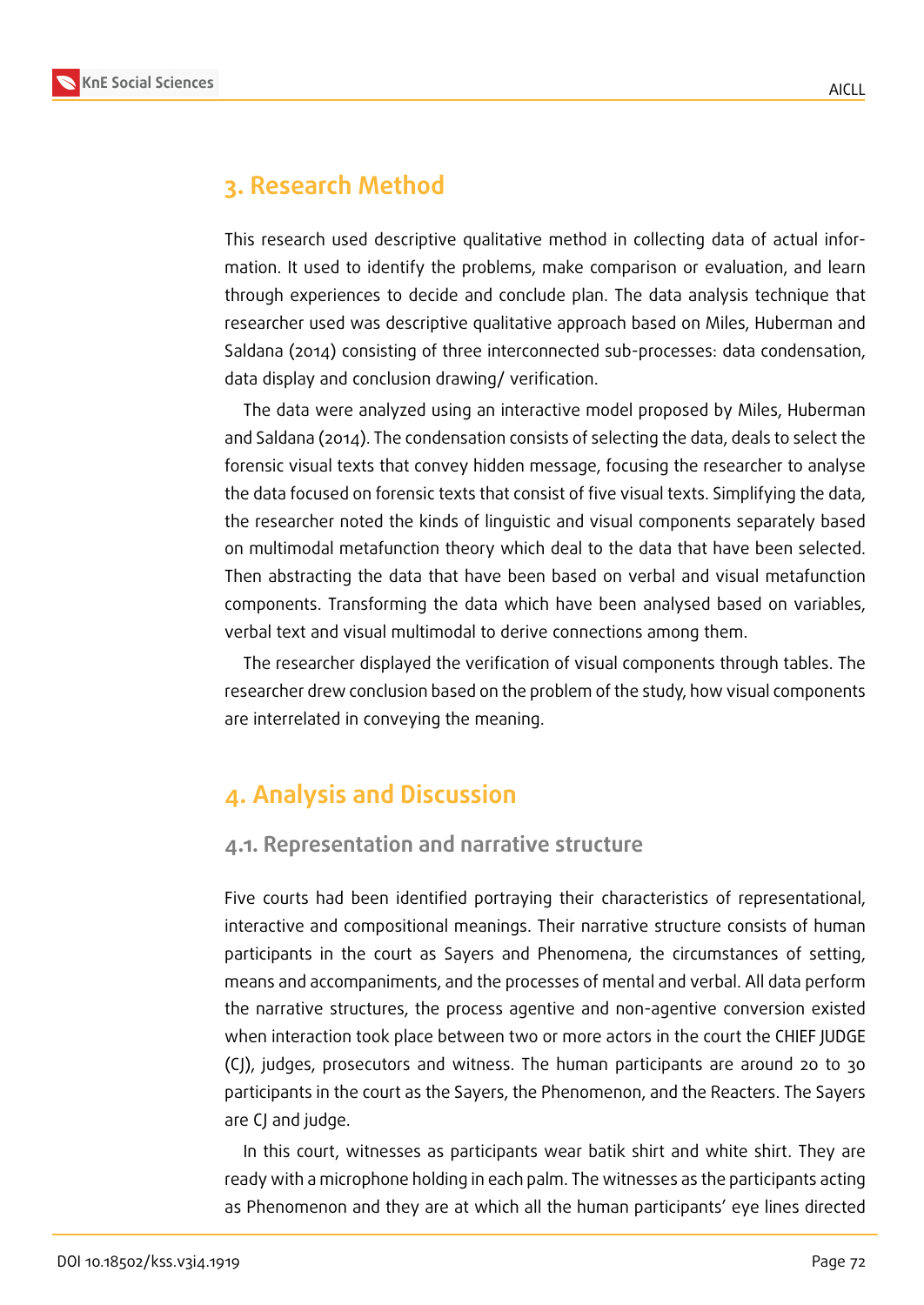

### **3. Research Method**

This research used descriptive qualitative method in collecting data of actual information. It used to identify the problems, make comparison or evaluation, and learn through experiences to decide and conclude plan. The data analysis technique that researcher used was descriptive qualitative approach based on Miles, Huberman and Saldana (2014) consisting of three interconnected sub-processes: data condensation, data display and conclusion drawing/ verification.

The data were analyzed using an interactive model proposed by Miles, Huberman and Saldana (2014). The condensation consists of selecting the data, deals to select the forensic visual texts that convey hidden message, focusing the researcher to analyse the data focused on forensic texts that consist of five visual texts. Simplifying the data, the researcher noted the kinds of linguistic and visual components separately based on multimodal metafunction theory which deal to the data that have been selected. Then abstracting the data that have been based on verbal and visual metafunction components. Transforming the data which have been analysed based on variables, verbal text and visual multimodal to derive connections among them.

The researcher displayed the verification of visual components through tables. The researcher drew conclusion based on the problem of the study, how visual components are interrelated in conveying the meaning.

### **4. Analysis and Discussion**

#### **4.1. Representation and narrative structure**

Five courts had been identified portraying their characteristics of representational, interactive and compositional meanings. Their narrative structure consists of human participants in the court as Sayers and Phenomena, the circumstances of setting, means and accompaniments, and the processes of mental and verbal. All data perform the narrative structures, the process agentive and non-agentive conversion existed when interaction took place between two or more actors in the court the CHIEF JUDGE (CJ), judges, prosecutors and witness. The human participants are around 20 to 30 participants in the court as the Sayers, the Phenomenon, and the Reacters. The Sayers are CJ and judge.

In this court, witnesses as participants wear batik shirt and white shirt. They are ready with a microphone holding in each palm. The witnesses as the participants acting as Phenomenon and they are at which all the human participants' eye lines directed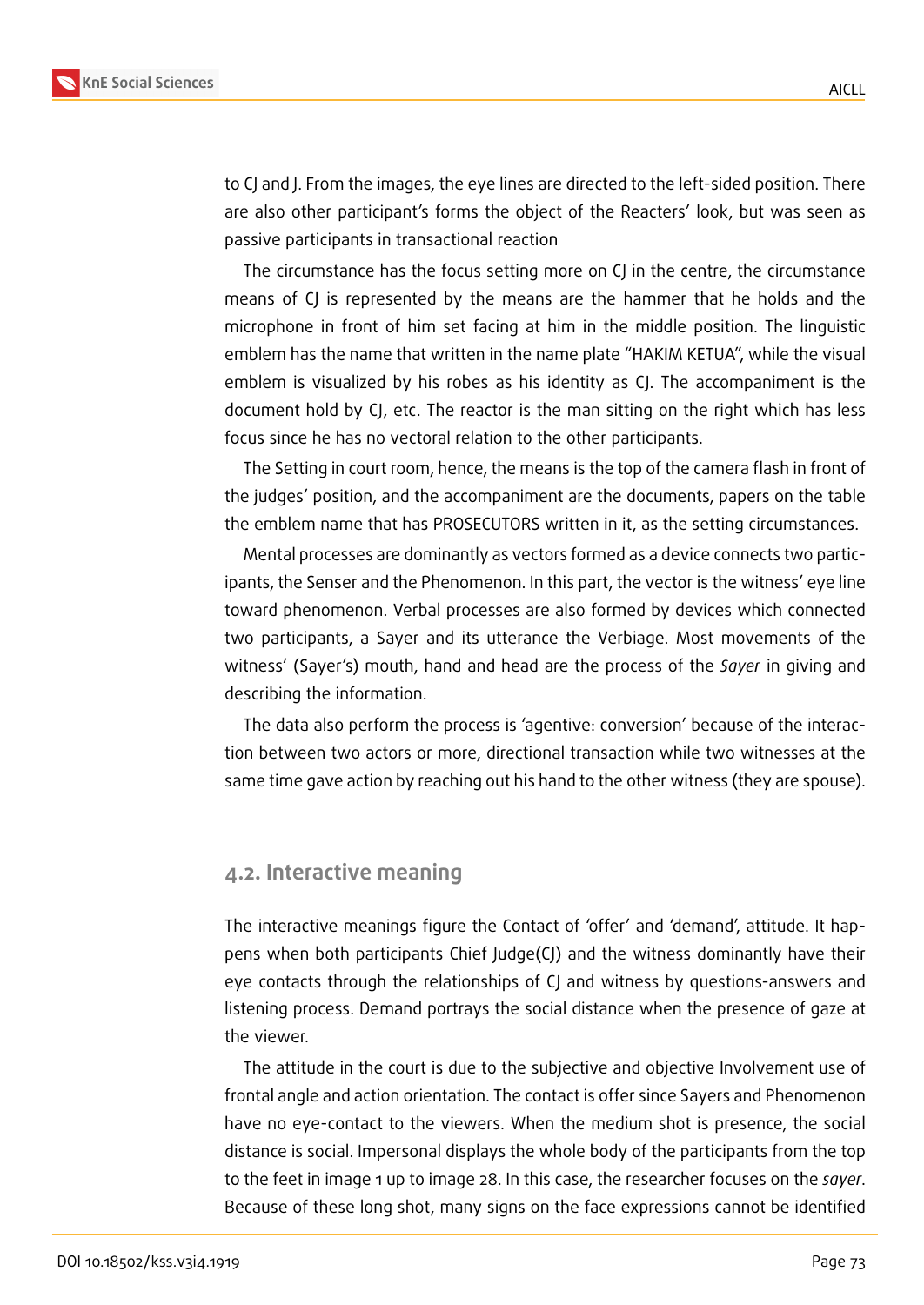

to CJ and J. From the images, the eye lines are directed to the left-sided position. There are also other participant's forms the object of the Reacters' look, but was seen as passive participants in transactional reaction

The circumstance has the focus setting more on CJ in the centre, the circumstance means of CJ is represented by the means are the hammer that he holds and the microphone in front of him set facing at him in the middle position. The linguistic emblem has the name that written in the name plate "HAKIM KETUA", while the visual emblem is visualized by his robes as his identity as CJ. The accompaniment is the document hold by CJ, etc. The reactor is the man sitting on the right which has less focus since he has no vectoral relation to the other participants.

The Setting in court room, hence, the means is the top of the camera flash in front of the judges' position, and the accompaniment are the documents, papers on the table the emblem name that has PROSECUTORS written in it, as the setting circumstances.

Mental processes are dominantly as vectors formed as a device connects two participants, the Senser and the Phenomenon. In this part, the vector is the witness' eye line toward phenomenon. Verbal processes are also formed by devices which connected two participants, a Sayer and its utterance the Verbiage. Most movements of the witness' (Sayer's) mouth, hand and head are the process of the *Sayer* in giving and describing the information.

The data also perform the process is 'agentive: conversion' because of the interaction between two actors or more, directional transaction while two witnesses at the same time gave action by reaching out his hand to the other witness (they are spouse).

#### **4.2. Interactive meaning**

The interactive meanings figure the Contact of 'offer' and 'demand', attitude. It happens when both participants Chief Judge(CJ) and the witness dominantly have their eye contacts through the relationships of CJ and witness by questions-answers and listening process. Demand portrays the social distance when the presence of gaze at the viewer.

The attitude in the court is due to the subjective and objective Involvement use of frontal angle and action orientation. The contact is offer since Sayers and Phenomenon have no eye-contact to the viewers. When the medium shot is presence, the social distance is social. Impersonal displays the whole body of the participants from the top to the feet in image 1 up to image 28. In this case, the researcher focuses on the *sayer*. Because of these long shot, many signs on the face expressions cannot be identified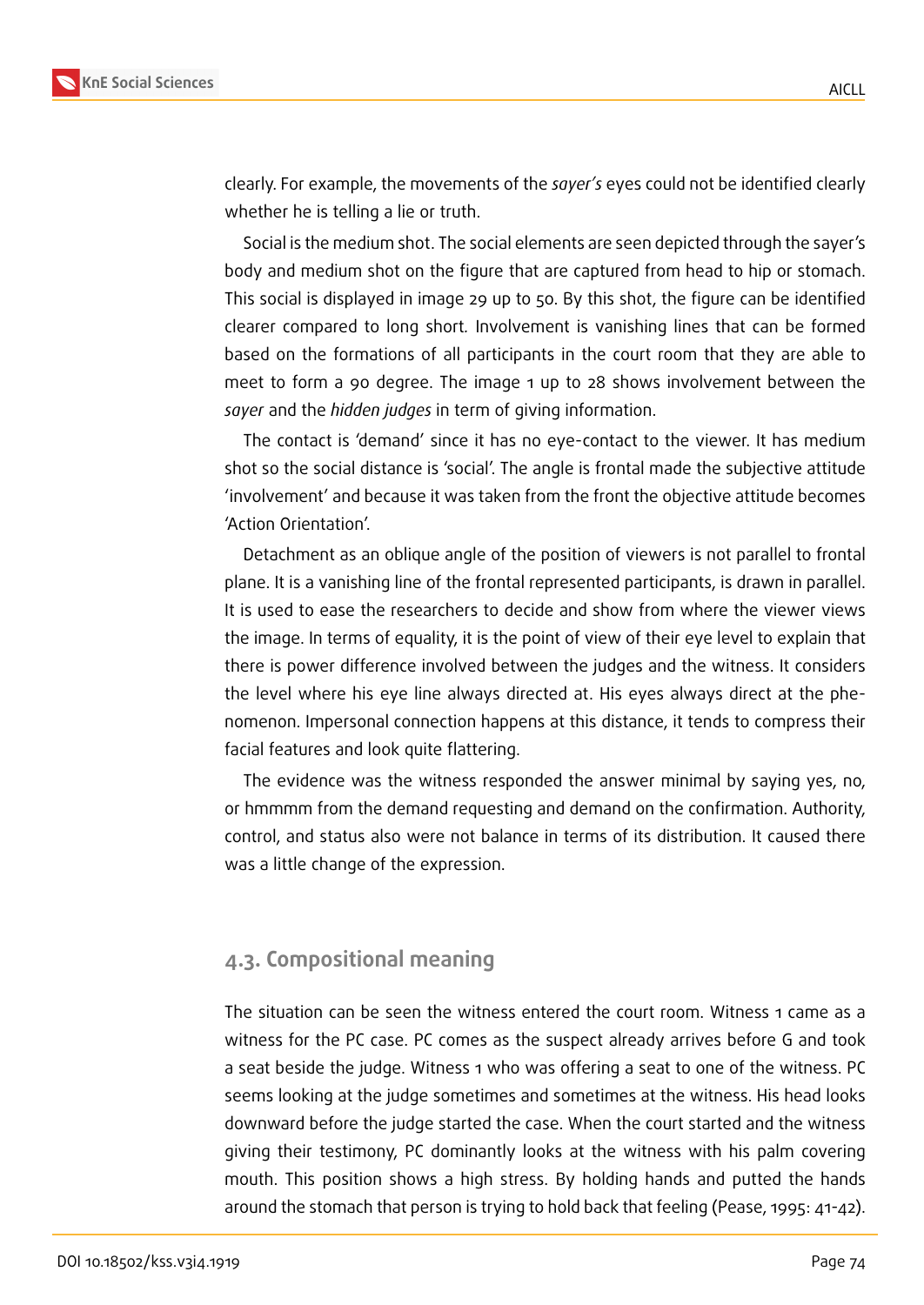

clearly. For example, the movements of the *sayer's* eyes could not be identified clearly whether he is telling a lie or truth.

Social is the medium shot. The social elements are seen depicted through the sayer's body and medium shot on the figure that are captured from head to hip or stomach. This social is displayed in image 29 up to 50. By this shot, the figure can be identified clearer compared to long short*.* Involvement is vanishing lines that can be formed based on the formations of all participants in the court room that they are able to meet to form a 90 degree. The image 1 up to 28 shows involvement between the *sayer* and the *hidden judges* in term of giving information.

The contact is 'demand' since it has no eye-contact to the viewer. It has medium shot so the social distance is 'social'. The angle is frontal made the subjective attitude 'involvement' and because it was taken from the front the objective attitude becomes 'Action Orientation'.

Detachment as an oblique angle of the position of viewers is not parallel to frontal plane. It is a vanishing line of the frontal represented participants, is drawn in parallel. It is used to ease the researchers to decide and show from where the viewer views the image. In terms of equality, it is the point of view of their eye level to explain that there is power difference involved between the judges and the witness. It considers the level where his eye line always directed at. His eyes always direct at the phenomenon. Impersonal connection happens at this distance, it tends to compress their facial features and look quite flattering.

The evidence was the witness responded the answer minimal by saying yes, no, or hmmmm from the demand requesting and demand on the confirmation. Authority, control, and status also were not balance in terms of its distribution. It caused there was a little change of the expression.

### **4.3. Compositional meaning**

The situation can be seen the witness entered the court room. Witness 1 came as a witness for the PC case. PC comes as the suspect already arrives before G and took a seat beside the judge. Witness 1 who was offering a seat to one of the witness. PC seems looking at the judge sometimes and sometimes at the witness. His head looks downward before the judge started the case. When the court started and the witness giving their testimony, PC dominantly looks at the witness with his palm covering mouth. This position shows a high stress. By holding hands and putted the hands around the stomach that person is trying to hold back that feeling (Pease, 1995: 41-42).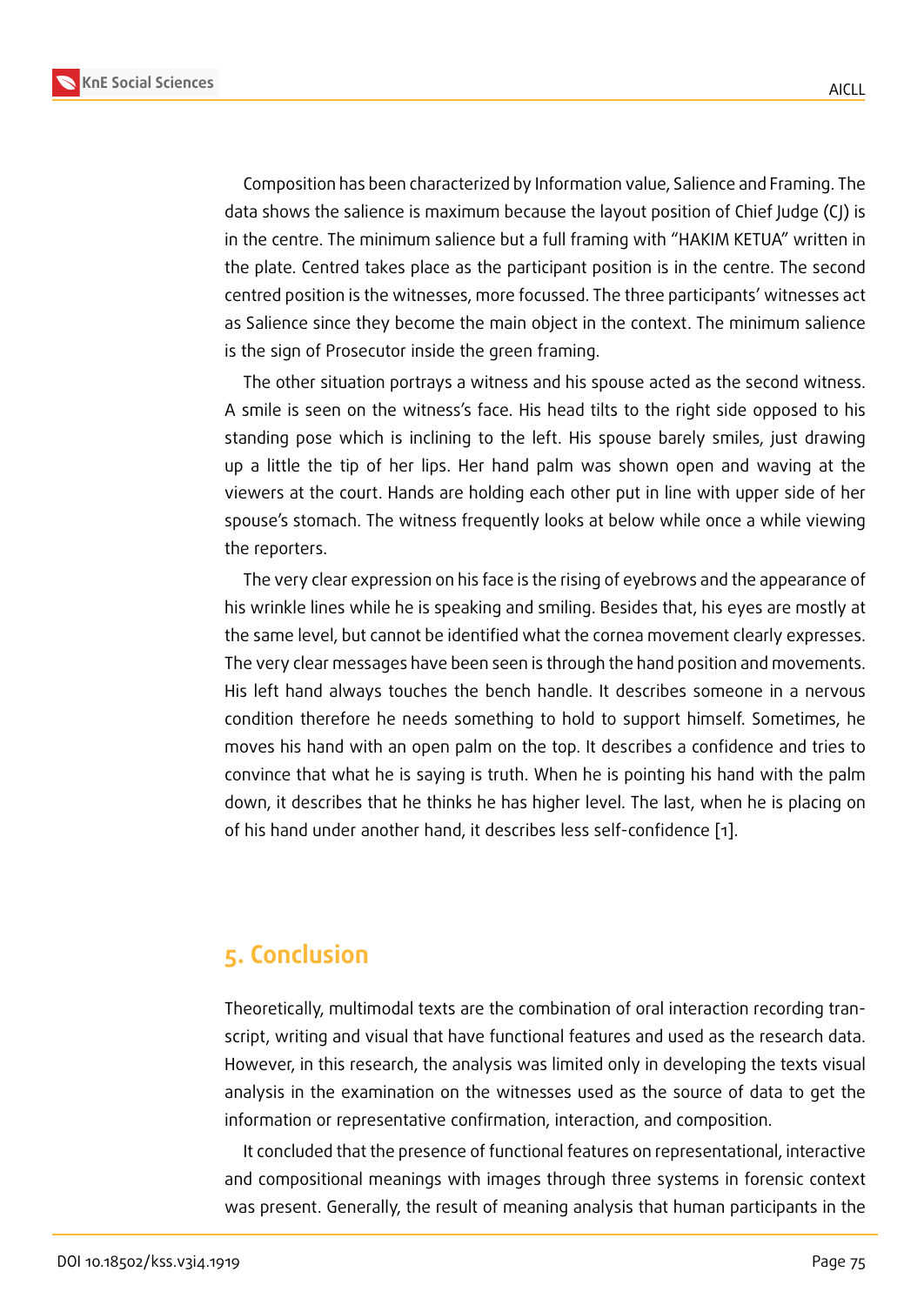Composition has been characterized by Information value, Salience and Framing. The data shows the salience is maximum because the layout position of Chief Judge (CJ) is in the centre. The minimum salience but a full framing with "HAKIM KETUA" written in the plate. Centred takes place as the participant position is in the centre. The second centred position is the witnesses, more focussed. The three participants' witnesses act as Salience since they become the main object in the context. The minimum salience is the sign of Prosecutor inside the green framing.

The other situation portrays a witness and his spouse acted as the second witness. A smile is seen on the witness's face. His head tilts to the right side opposed to his standing pose which is inclining to the left. His spouse barely smiles, just drawing up a little the tip of her lips. Her hand palm was shown open and waving at the viewers at the court. Hands are holding each other put in line with upper side of her spouse's stomach. The witness frequently looks at below while once a while viewing the reporters.

The very clear expression on his face is the rising of eyebrows and the appearance of his wrinkle lines while he is speaking and smiling. Besides that, his eyes are mostly at the same level, but cannot be identified what the cornea movement clearly expresses. The very clear messages have been seen is through the hand position and movements. His left hand always touches the bench handle. It describes someone in a nervous condition therefore he needs something to hold to support himself. Sometimes, he moves his hand with an open palm on the top. It describes a confidence and tries to convince that what he is saying is truth. When he is pointing his hand with the palm down, it describes that he thinks he has higher level. The last, when he is placing on of his hand under another hand, it describes less self-confidence [1].

### **5. Conclusion**

Theoretically, multimodal texts are the combination of oral interaction recording transcript, writing and visual that have functional features and used as the research data. However, in this research, the analysis was limited only in developing the texts visual analysis in the examination on the witnesses used as the source of data to get the information or representative confirmation, interaction, and composition.

It concluded that the presence of functional features on representational, interactive and compositional meanings with images through three systems in forensic context was present. Generally, the result of meaning analysis that human participants in the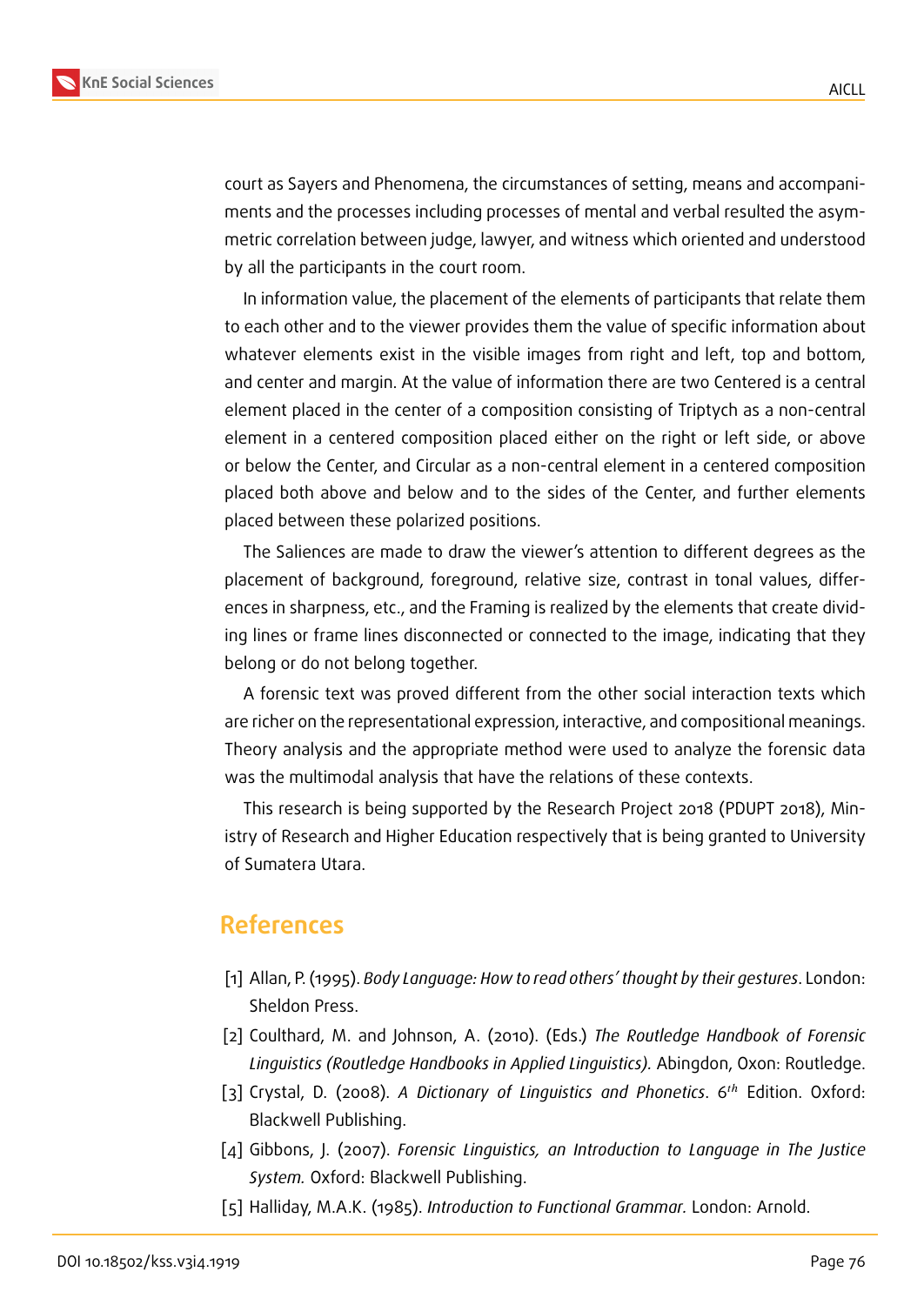

court as Sayers and Phenomena, the circumstances of setting, means and accompaniments and the processes including processes of mental and verbal resulted the asymmetric correlation between judge, lawyer, and witness which oriented and understood by all the participants in the court room.

In information value, the placement of the elements of participants that relate them to each other and to the viewer provides them the value of specific information about whatever elements exist in the visible images from right and left, top and bottom, and center and margin. At the value of information there are two Centered is a central element placed in the center of a composition consisting of Triptych as a non-central element in a centered composition placed either on the right or left side, or above or below the Center, and Circular as a non-central element in a centered composition placed both above and below and to the sides of the Center, and further elements placed between these polarized positions.

The Saliences are made to draw the viewer's attention to different degrees as the placement of background, foreground, relative size, contrast in tonal values, differences in sharpness, etc., and the Framing is realized by the elements that create dividing lines or frame lines disconnected or connected to the image, indicating that they belong or do not belong together.

A forensic text was proved different from the other social interaction texts which are richer on the representational expression, interactive, and compositional meanings. Theory analysis and the appropriate method were used to analyze the forensic data was the multimodal analysis that have the relations of these contexts.

This research is being supported by the Research Project 2018 (PDUPT 2018), Ministry of Research and Higher Education respectively that is being granted to University of Sumatera Utara.

### **References**

- [1] Allan, P. (1995). *Body Language: How to read others' thought by their gestures*. London: Sheldon Press.
- [2] Coulthard, M. and Johnson, A. (2010). (Eds.) *The Routledge Handbook of Forensic Linguistics (Routledge Handbooks in Applied Linguistics).* Abingdon, Oxon: Routledge.
- <span id="page-10-0"></span>[3] Crystal, D. (2008). A Dictionary of Linguistics and Phonetics. 6<sup>th</sup> Edition. Oxford: Blackwell Publishing.
- [4] Gibbons, J. (2007). *Forensic Linguistics, an Introduction to Language in The Justice System.* Oxford: Blackwell Publishing.
- [5] Halliday, M.A.K. (1985). *Introduction to Functional Grammar.* London: Arnold.